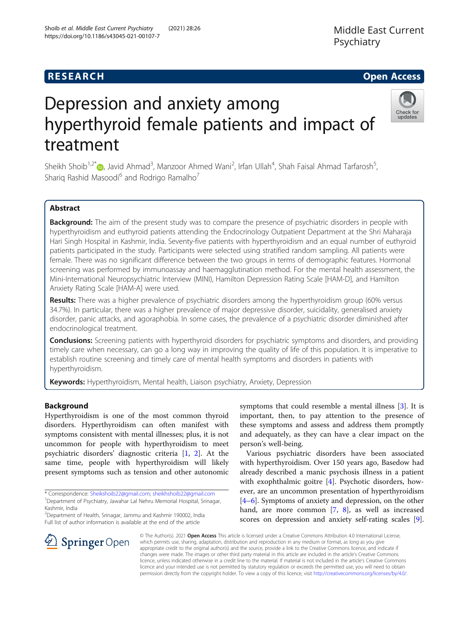# **RESEARCH CHE Open Access**

# Depression and anxiety among hyperthyroid female patients and impact of treatment

https://doi.org/10.1186/s43045-021-00107-7

Shoib et al. Middle East Current Psychiatry (2021) 28:26

Sheikh Shoib<sup>1[,](http://orcid.org/0000-0002-3739-706X)2\*</sup>®, Javid Ahmad<sup>3</sup>, Manzoor Ahmed Wani<sup>2</sup>, Irfan Ullah<sup>4</sup>, Shah Faisal Ahmad Tarfarosh<sup>5</sup> , Sharig Rashid Masoodi<sup>6</sup> and Rodrigo Ramalho<sup>7</sup>

# Abstract

Background: The aim of the present study was to compare the presence of psychiatric disorders in people with hyperthyroidism and euthyroid patients attending the Endocrinology Outpatient Department at the Shri Maharaja Hari Singh Hospital in Kashmir, India. Seventy-five patients with hyperthyroidism and an equal number of euthyroid patients participated in the study. Participants were selected using stratified random sampling. All patients were female. There was no significant difference between the two groups in terms of demographic features. Hormonal screening was performed by immunoassay and haemagglutination method. For the mental health assessment, the Mini-International Neuropsychiatric Interview (MINI), Hamilton Depression Rating Scale [HAM-D], and Hamilton Anxiety Rating Scale [HAM-A] were used.

Results: There was a higher prevalence of psychiatric disorders among the hyperthyroidism group (60% versus 34.7%). In particular, there was a higher prevalence of major depressive disorder, suicidality, generalised anxiety disorder, panic attacks, and agoraphobia. In some cases, the prevalence of a psychiatric disorder diminished after endocrinological treatment.

**Conclusions:** Screening patients with hyperthyroid disorders for psychiatric symptoms and disorders, and providing timely care when necessary, can go a long way in improving the quality of life of this population. It is imperative to establish routine screening and timely care of mental health symptoms and disorders in patients with hyperthyroidism.

Keywords: Hyperthyroidism, Mental health, Liaison psychiatry, Anxiety, Depression

# Background

Hyperthyroidism is one of the most common thyroid disorders. Hyperthyroidism can often manifest with symptoms consistent with mental illnesses; plus, it is not uncommon for people with hyperthyroidism to meet psychiatric disorders' diagnostic criteria [\[1](#page-5-0), [2\]](#page-5-0). At the same time, people with hyperthyroidism will likely present symptoms such as tension and other autonomic

\* Correspondence: [Sheikshoib22@gmail.com](mailto:Sheikshoib22@gmail.com); [sheikhshoib22@gmail.com](mailto:sheikhshoib22@gmail.com) <sup>1</sup> <sup>1</sup>Department of Psychiatry, Jawahar Lal Nehru Memorial Hospital, Srinagar, Kashmir, India

2 Department of Health, Srinagar, Jammu and Kashmir 190002, India Full list of author information is available at the end of the article

 $\mathscr{L}$  Springer Open

© The Author(s). 2021 Open Access This article is licensed under a Creative Commons Attribution 4.0 International License, which permits use, sharing, adaptation, distribution and reproduction in any medium or format, as long as you give appropriate credit to the original author(s) and the source, provide a link to the Creative Commons licence, and indicate if changes were made. The images or other third party material in this article are included in the article's Creative Commons licence, unless indicated otherwise in a credit line to the material. If material is not included in the article's Creative Commons licence and your intended use is not permitted by statutory regulation or exceeds the permitted use, you will need to obtain permission directly from the copyright holder. To view a copy of this licence, visit <http://creativecommons.org/licenses/by/4.0/>.

symptoms that could resemble a mental illness [\[3](#page-5-0)]. It is important, then, to pay attention to the presence of these symptoms and assess and address them promptly and adequately, as they can have a clear impact on the person's well-being.

Various psychiatric disorders have been associated with hyperthyroidism. Over 150 years ago, Basedow had already described a manic psychosis illness in a patient with exophthalmic goitre [\[4\]](#page-5-0). Psychotic disorders, however, are an uncommon presentation of hyperthyroidism [[4](#page-5-0)–[6\]](#page-5-0). Symptoms of anxiety and depression, on the other hand, are more common [[7,](#page-5-0) [8](#page-5-0)], as well as increased scores on depression and anxiety self-rating scales [\[9](#page-5-0)].

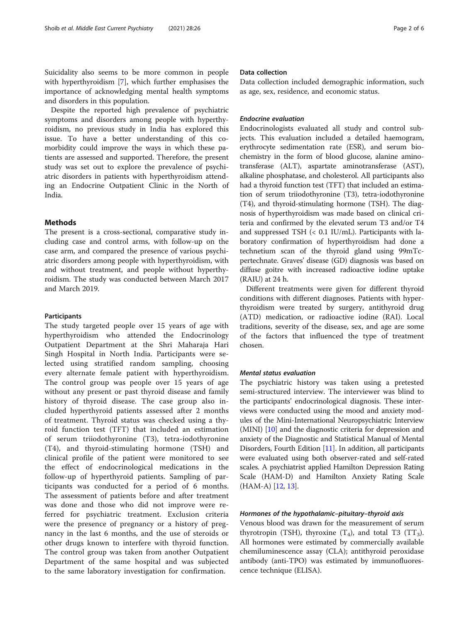Suicidality also seems to be more common in people with hyperthyroidism [[7\]](#page-5-0), which further emphasises the importance of acknowledging mental health symptoms and disorders in this population.

Despite the reported high prevalence of psychiatric symptoms and disorders among people with hyperthyroidism, no previous study in India has explored this issue. To have a better understanding of this comorbidity could improve the ways in which these patients are assessed and supported. Therefore, the present study was set out to explore the prevalence of psychiatric disorders in patients with hyperthyroidism attending an Endocrine Outpatient Clinic in the North of India.

# Methods

The present is a cross-sectional, comparative study including case and control arms, with follow-up on the case arm, and compared the presence of various psychiatric disorders among people with hyperthyroidism, with and without treatment, and people without hyperthyroidism. The study was conducted between March 2017 and March 2019.

#### Participants

The study targeted people over 15 years of age with hyperthyroidism who attended the Endocrinology Outpatient Department at the Shri Maharaja Hari Singh Hospital in North India. Participants were selected using stratified random sampling, choosing every alternate female patient with hyperthyroidism. The control group was people over 15 years of age without any present or past thyroid disease and family history of thyroid disease. The case group also included hyperthyroid patients assessed after 2 months of treatment. Thyroid status was checked using a thyroid function test (TFT) that included an estimation of serum triiodothyronine (T3), tetra-iodothyronine (T4), and thyroid-stimulating hormone (TSH) and clinical profile of the patient were monitored to see the effect of endocrinological medications in the follow-up of hyperthyroid patients. Sampling of participants was conducted for a period of 6 months. The assessment of patients before and after treatment was done and those who did not improve were referred for psychiatric treatment. Exclusion criteria were the presence of pregnancy or a history of pregnancy in the last 6 months, and the use of steroids or other drugs known to interfere with thyroid function. The control group was taken from another Outpatient Department of the same hospital and was subjected to the same laboratory investigation for confirmation.

#### Data collection

Data collection included demographic information, such as age, sex, residence, and economic status.

# Endocrine evaluation

Endocrinologists evaluated all study and control subjects. This evaluation included a detailed haemogram, erythrocyte sedimentation rate (ESR), and serum biochemistry in the form of blood glucose, alanine aminotransferase (ALT), aspartate aminotransferase (AST), alkaline phosphatase, and cholesterol. All participants also had a thyroid function test (TFT) that included an estimation of serum triiodothyronine (T3), tetra-iodothyronine (T4), and thyroid-stimulating hormone (TSH). The diagnosis of hyperthyroidism was made based on clinical criteria and confirmed by the elevated serum T3 and/or T4 and suppressed TSH (< 0.1 IU/mL). Participants with laboratory confirmation of hyperthyroidism had done a technetium scan of the thyroid gland using 99mTcpertechnate. Graves' disease (GD) diagnosis was based on diffuse goitre with increased radioactive iodine uptake (RAIU) at 24 h.

Different treatments were given for different thyroid conditions with different diagnoses. Patients with hyperthyroidism were treated by surgery, antithyroid drug (ATD) medication, or radioactive iodine (RAI). Local traditions, severity of the disease, sex, and age are some of the factors that influenced the type of treatment chosen.

# Mental status evaluation

The psychiatric history was taken using a pretested semi-structured interview. The interviewer was blind to the participants' endocrinological diagnosis. These interviews were conducted using the mood and anxiety modules of the Mini-International Neuropsychiatric Interview (MINI) [[10](#page-5-0)] and the diagnostic criteria for depression and anxiety of the Diagnostic and Statistical Manual of Mental Disorders, Fourth Edition [[11\]](#page-5-0). In addition, all participants were evaluated using both observer-rated and self-rated scales. A psychiatrist applied Hamilton Depression Rating Scale (HAM-D) and Hamilton Anxiety Rating Scale (HAM-A) [\[12,](#page-5-0) [13](#page-5-0)].

# Hormones of the hypothalamic–pituitary–thyroid axis

Venous blood was drawn for the measurement of serum thyrotropin (TSH), thyroxine  $(T_4)$ , and total T3 (TT<sub>3</sub>). All hormones were estimated by commercially available chemiluminescence assay (CLA); antithyroid peroxidase antibody (anti-TPO) was estimated by immunofluorescence technique (ELISA).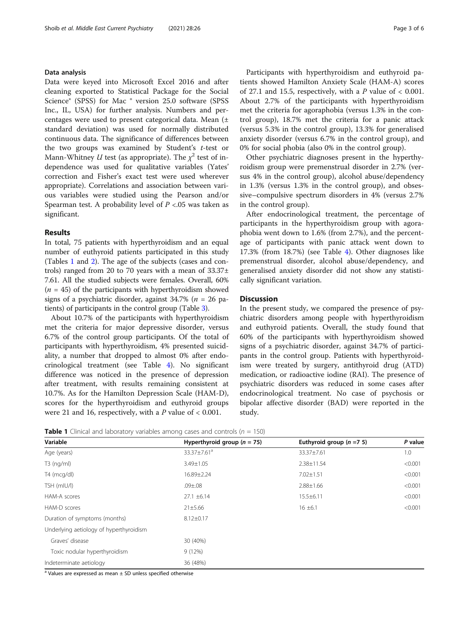# Data analysis

Data were keyed into Microsoft Excel 2016 and after cleaning exported to Statistical Package for the Social Science® (SPSS) for Mac ® version 25.0 software (SPSS Inc., IL, USA) for further analysis. Numbers and percentages were used to present categorical data. Mean (± standard deviation) was used for normally distributed continuous data. The significance of differences between the two groups was examined by Student's  $t$ -test or Mann-Whitney U test (as appropriate). The  $\chi^2$  test of independence was used for qualitative variables (Yates' correction and Fisher's exact test were used wherever appropriate). Correlations and association between various variables were studied using the Pearson and/or Spearman test. A probability level of  $P < 0.05$  was taken as significant.

#### Results

In total, 75 patients with hyperthyroidism and an equal number of euthyroid patients participated in this study (Tables 1 and [2\)](#page-3-0). The age of the subjects (cases and controls) ranged from 20 to 70 years with a mean of  $33.37\pm$ 7.61. All the studied subjects were females. Overall, 60%  $(n = 45)$  of the participants with hyperthyroidism showed signs of a psychiatric disorder, against  $34.7\%$  ( $n = 26$  patients) of participants in the control group (Table [3\)](#page-3-0).

About 10.7% of the participants with hyperthyroidism met the criteria for major depressive disorder, versus 6.7% of the control group participants. Of the total of participants with hyperthyroidism, 4% presented suicidality, a number that dropped to almost 0% after endocrinological treatment (see Table [4\)](#page-4-0). No significant difference was noticed in the presence of depression after treatment, with results remaining consistent at 10.7%. As for the Hamilton Depression Scale (HAM-D), scores for the hyperthyroidism and euthyroid groups were 21 and 16, respectively, with a  $P$  value of  $< 0.001$ .

Participants with hyperthyroidism and euthyroid patients showed Hamilton Anxiety Scale (HAM-A) scores of 27.1 and 15.5, respectively, with a  $P$  value of  $< 0.001$ . About 2.7% of the participants with hyperthyroidism met the criteria for agoraphobia (versus 1.3% in the control group), 18.7% met the criteria for a panic attack (versus 5.3% in the control group), 13.3% for generalised anxiety disorder (versus 6.7% in the control group), and 0% for social phobia (also 0% in the control group).

Other psychiatric diagnoses present in the hyperthyroidism group were premenstrual disorder in 2.7% (versus 4% in the control group), alcohol abuse/dependency in 1.3% (versus 1.3% in the control group), and obsessive–compulsive spectrum disorders in 4% (versus 2.7% in the control group).

After endocrinological treatment, the percentage of participants in the hyperthyroidism group with agoraphobia went down to 1.6% (from 2.7%), and the percentage of participants with panic attack went down to 17.3% (from 18.7%) (see Table [4\)](#page-4-0). Other diagnoses like premenstrual disorder, alcohol abuse/dependency, and generalised anxiety disorder did not show any statistically significant variation.

#### **Discussion**

In the present study, we compared the presence of psychiatric disorders among people with hyperthyroidism and euthyroid patients. Overall, the study found that 60% of the participants with hyperthyroidism showed signs of a psychiatric disorder, against 34.7% of participants in the control group. Patients with hyperthyroidism were treated by surgery, antithyroid drug (ATD) medication, or radioactive iodine (RAI). The presence of psychiatric disorders was reduced in some cases after endocrinological treatment. No case of psychosis or bipolar affective disorder (BAD) were reported in the study.

**Table 1** Clinical and laboratory variables among cases and controls ( $n = 150$ )

| Variable                                | Hyperthyroid group ( $n = 75$ ) | Euthyroid group $(n = 7, 5)$ | P value |  |  |
|-----------------------------------------|---------------------------------|------------------------------|---------|--|--|
| Age (years)                             | 33.37±7.61 <sup>a</sup>         | 33.37±7.61                   | 1.0     |  |  |
| $T3$ (ng/ml)                            | 3.49±1.05                       | $2.38 \pm 11.54$             | < 0.001 |  |  |
| T4 (mcg/dl)                             | 16.89±2.24                      | $7.02 \pm 1.51$              | < 0.001 |  |  |
| TSH (mIU/l)                             | $.09 \pm .08$                   | $2.88 \pm 1.66$              | < 0.001 |  |  |
| HAM-A scores                            | $27.1 \pm 6.14$                 | $15.5 \pm 6.11$              | < 0.001 |  |  |
| HAM-D scores                            | 21±5.66                         | $16 \pm 6.1$                 | < 0.001 |  |  |
| Duration of symptoms (months)           | $8.12 \pm 0.17$                 |                              |         |  |  |
| Underlying aetiology of hyperthyroidism |                                 |                              |         |  |  |
| Graves' disease                         | 30 (40%)                        |                              |         |  |  |
| Toxic nodular hyperthyroidism           | 9(12%)                          |                              |         |  |  |
| Indeterminate aetiology                 | 36 (48%)                        |                              |         |  |  |

<sup>a</sup> Values are expressed as mean  $\pm$  SD unless specified otherwise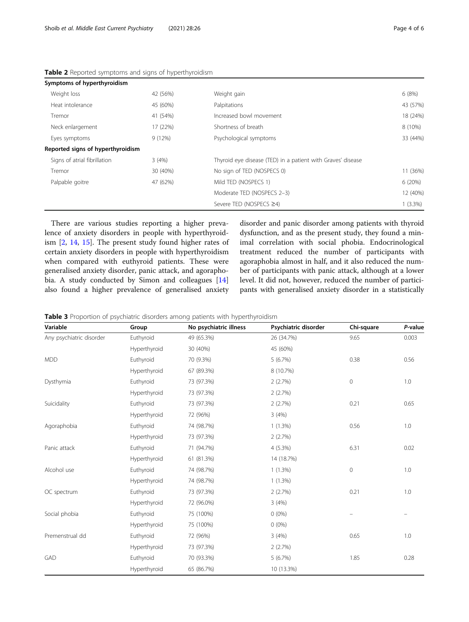| Symptoms of hyperthyroidism       |          |                                                             |            |
|-----------------------------------|----------|-------------------------------------------------------------|------------|
| Weight loss                       | 42 (56%) | Weight gain                                                 | 6(8%)      |
| Heat intolerance                  | 45 (60%) | Palpitations                                                | 43 (57%)   |
| Tremor                            | 41 (54%) | Increased bowl movement                                     | 18 (24%)   |
| Neck enlargement                  | 17 (22%) | Shortness of breath                                         | 8 (10%)    |
| Eyes symptoms                     | 9(12%)   | Psychological symptoms                                      | 33 (44%)   |
| Reported signs of hyperthyroidism |          |                                                             |            |
| Signs of atrial fibrillation      | 3(4%)    | Thyroid eye disease (TED) in a patient with Graves' disease |            |
| Tremor                            | 30 (40%) | No sign of TED (NOSPECS 0)                                  | 11 (36%)   |
| Palpable goitre                   | 47 (62%) | Mild TED (NOSPECS 1)                                        | 6(20%)     |
|                                   |          | Moderate TED (NOSPECS 2-3)                                  | 12 (40%)   |
|                                   |          | Severe TED (NOSPECS ≥4)                                     | $1(3.3\%)$ |

<span id="page-3-0"></span>Table 2 Reported symptoms and signs of hyperthyroidism

There are various studies reporting a higher prevalence of anxiety disorders in people with hyperthyroidism [\[2,](#page-5-0) [14,](#page-5-0) [15](#page-5-0)]. The present study found higher rates of certain anxiety disorders in people with hyperthyroidism when compared with euthyroid patients. These were generalised anxiety disorder, panic attack, and agoraphobia. A study conducted by Simon and colleagues [[14](#page-5-0)] also found a higher prevalence of generalised anxiety disorder and panic disorder among patients with thyroid dysfunction, and as the present study, they found a minimal correlation with social phobia. Endocrinological treatment reduced the number of participants with agoraphobia almost in half, and it also reduced the number of participants with panic attack, although at a lower level. It did not, however, reduced the number of participants with generalised anxiety disorder in a statistically

**Table 3** Proportion of psychiatric disorders among patients with hyperthyroidism

| Variable                 | Group        | No psychiatric illness | Psychiatric disorder | Chi-square  | P-value |
|--------------------------|--------------|------------------------|----------------------|-------------|---------|
| Any psychiatric disorder | Euthyroid    | 49 (65.3%)             | 26 (34.7%)           | 9.65        | 0.003   |
|                          | Hyperthyroid | 30 (40%)               | 45 (60%)             |             |         |
| <b>MDD</b>               | Euthyroid    | 70 (9.3%)              | 5(6.7%)              | 0.38        | 0.56    |
|                          | Hyperthyroid | 67 (89.3%)             | 8 (10.7%)            |             |         |
| Dysthymia                | Euthyroid    | 73 (97.3%)             | 2(2.7%)              | $\mathbf 0$ | 1.0     |
|                          | Hyperthyroid | 73 (97.3%)             | 2(2.7%)              |             |         |
| Suicidality              | Euthyroid    | 73 (97.3%)             | 2(2.7%)              | 0.21        | 0.65    |
|                          | Hyperthyroid | 72 (96%)               | 3(4%)                |             |         |
| Agoraphobia              | Euthyroid    | 74 (98.7%)             | $1(1.3\%)$           | 0.56        | 1.0     |
|                          | Hyperthyroid | 73 (97.3%)             | 2(2.7%)              |             |         |
| Panic attack             | Euthyroid    | 71 (94.7%)             | 4 (5.3%)             | 6.31        | 0.02    |
|                          | Hyperthyroid | 61 (81.3%)             | 14 (18.7%)           |             |         |
| Alcohol use              | Euthyroid    | 74 (98.7%)             | $1(1.3\%)$           | $\mathbb O$ | 1.0     |
|                          | Hyperthyroid | 74 (98.7%)             | $1(1.3\%)$           |             |         |
| OC spectrum              | Euthyroid    | 73 (97.3%)             | 2(2.7%)              | 0.21        | 1.0     |
|                          | Hyperthyroid | 72 (96.0%)             | 3(4%)                |             |         |
| Social phobia            | Euthyroid    | 75 (100%)              | $0(0\%)$             |             |         |
|                          | Hyperthyroid | 75 (100%)              | $0(0\%)$             |             |         |
| Premenstrual dd          | Euthyroid    | 72 (96%)               | 3(4%)                | 0.65        | 1.0     |
|                          | Hyperthyroid | 73 (97.3%)             | 2(2.7%)              |             |         |
| GAD                      | Euthyroid    | 70 (93.3%)             | 5(6.7%)              | 1.85        | 0.28    |
|                          | Hyperthyroid | 65 (86.7%)             | 10 (13.3%)           |             |         |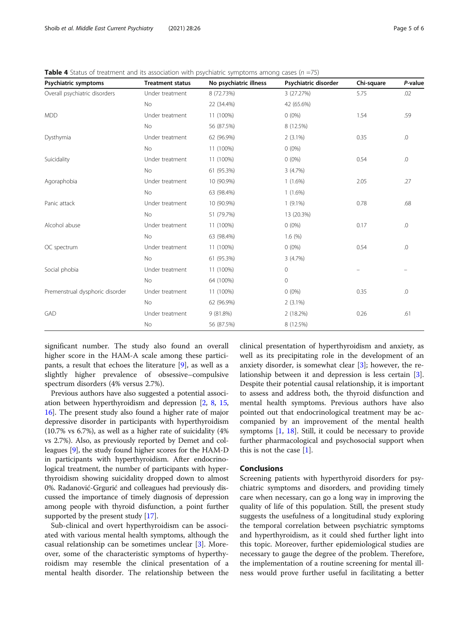| Psychiatric symptoms            | <b>Treatment status</b> | No psychiatric illness | Psychiatric disorder | Chi-square | P-value |
|---------------------------------|-------------------------|------------------------|----------------------|------------|---------|
| Overall psychiatric disorders   | Under treatment         | 8 (72.73%)             | 3 (27.27%)           | 5.75       | .02     |
|                                 | No                      | 22 (34.4%)             | 42 (65.6%)           |            |         |
| <b>MDD</b>                      | Under treatment         | 11 (100%)              | $0(0\%)$             | 1.54       | .59     |
|                                 | No                      | 56 (87.5%)             | 8 (12.5%)            |            |         |
| Dysthymia                       | Under treatment         | 62 (96.9%)             | $2(3.1\%)$           | 0.35       | .0      |
|                                 | No                      | 11 (100%)              | $0(0\%)$             |            |         |
| Suicidality                     | Under treatment         | 11 (100%)              | $0(0\%)$             | 0.54       | $0.$    |
|                                 | No                      | 61 (95.3%)             | 3(4.7%)              |            |         |
| Agoraphobia                     | Under treatment         | 10 (90.9%)             | $1(1.6\%)$           | 2.05       | .27     |
|                                 | No                      | 63 (98.4%)             | $1(1.6\%)$           |            |         |
| Panic attack                    | Under treatment         | 10 (90.9%)             | $1(9.1\%)$           | 0.78       | .68     |
|                                 | No                      | 51 (79.7%)             | 13 (20.3%)           |            |         |
| Alcohol abuse                   | Under treatment         | 11 (100%)              | $0(0\%)$             | 0.17       | $0.$    |
|                                 | No                      | 63 (98.4%)             | 1.6(%)               |            |         |
| OC spectrum                     | Under treatment         | 11 (100%)              | $0(0\%)$             | 0.54       | $0.$    |
|                                 | No                      | 61 (95.3%)             | 3(4.7%)              |            |         |
| Social phobia                   | Under treatment         | 11 (100%)              | $\circ$              |            |         |
|                                 | No                      | 64 (100%)              | $\overline{0}$       |            |         |
| Premenstrual dysphoric disorder | Under treatment         | 11 (100%)              | $0(0\%)$             | 0.35       | .0      |
|                                 | No                      | 62 (96.9%)             | $2(3.1\%)$           |            |         |
| GAD                             | Under treatment         | 9(81.8%)               | 2 (18.2%)            | 0.26       | .61     |
|                                 | No                      | 56 (87.5%)             | 8 (12.5%)            |            |         |

<span id="page-4-0"></span>**Table 4** Status of treatment and its association with psychiatric symptoms among cases ( $n = 75$ )

significant number. The study also found an overall higher score in the HAM-A scale among these participants, a result that echoes the literature [\[9](#page-5-0)], as well as a slightly higher prevalence of obsessive–compulsive spectrum disorders (4% versus 2.7%).

Previous authors have also suggested a potential association between hyperthyroidism and depression [[2,](#page-5-0) [8,](#page-5-0) [15](#page-5-0), [16](#page-5-0)]. The present study also found a higher rate of major depressive disorder in participants with hyperthyroidism (10.7% vs 6.7%), as well as a higher rate of suicidality (4% vs 2.7%). Also, as previously reported by Demet and colleagues [[9](#page-5-0)], the study found higher scores for the HAM-D in participants with hyperthyroidism. After endocrinological treatment, the number of participants with hyperthyroidism showing suicidality dropped down to almost 0%. Radanović-Grgurić and colleagues had previously discussed the importance of timely diagnosis of depression among people with thyroid disfunction, a point further supported by the present study  $[17]$ .

Sub-clinical and overt hyperthyroidism can be associated with various mental health symptoms, although the casual relationship can be sometimes unclear [[3\]](#page-5-0). Moreover, some of the characteristic symptoms of hyperthyroidism may resemble the clinical presentation of a mental health disorder. The relationship between the clinical presentation of hyperthyroidism and anxiety, as well as its precipitating role in the development of an anxiety disorder, is somewhat clear [\[3\]](#page-5-0); however, the relationship between it and depression is less certain [\[3](#page-5-0)]. Despite their potential causal relationship, it is important to assess and address both, the thyroid disfunction and mental health symptoms. Previous authors have also pointed out that endocrinological treatment may be accompanied by an improvement of the mental health symptoms [\[1](#page-5-0), [18\]](#page-5-0). Still, it could be necessary to provide further pharmacological and psychosocial support when this is not the case [\[1](#page-5-0)].

#### **Conclusions**

Screening patients with hyperthyroid disorders for psychiatric symptoms and disorders, and providing timely care when necessary, can go a long way in improving the quality of life of this population. Still, the present study suggests the usefulness of a longitudinal study exploring the temporal correlation between psychiatric symptoms and hyperthyroidism, as it could shed further light into this topic. Moreover, further epidemiological studies are necessary to gauge the degree of the problem. Therefore, the implementation of a routine screening for mental illness would prove further useful in facilitating a better